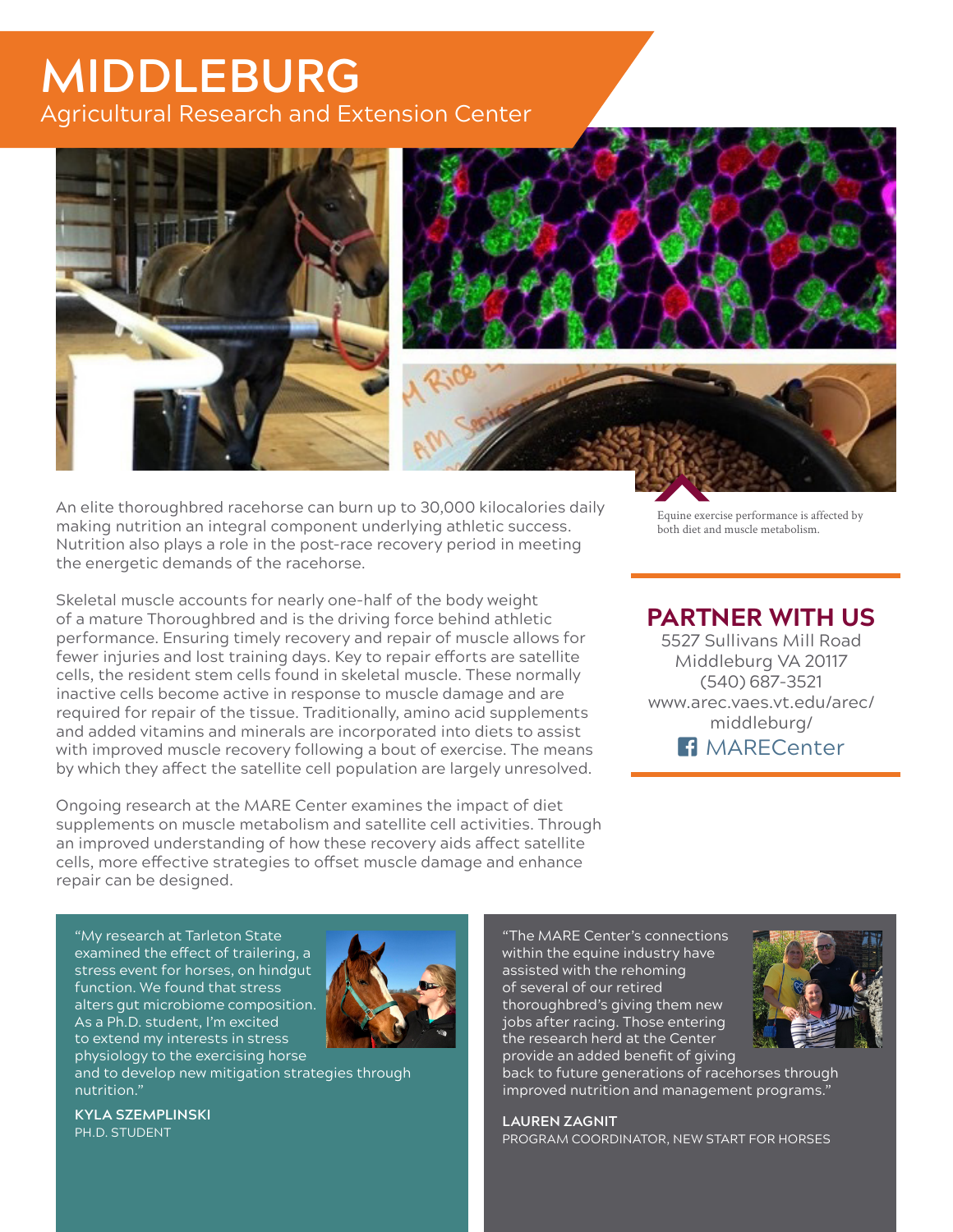## **MIDDLEBURG** Agricultural Research and Extension Center







An elite thoroughbred racehorse can burn up to 30,000 kilocalories daily making nutrition an integral component underlying athletic success. Nutrition also plays a role in the post-race recovery period in meeting the energetic demands of the racehorse.

Skeletal muscle accounts for nearly one-half of the body weight of a mature Thoroughbred and is the driving force behind athletic performance. Ensuring timely recovery and repair of muscle allows for fewer injuries and lost training days. Key to repair efforts are satellite cells, the resident stem cells found in skeletal muscle. These normally inactive cells become active in response to muscle damage and are required for repair of the tissue. Traditionally, amino acid supplements and added vitamins and minerals are incorporated into diets to assist with improved muscle recovery following a bout of exercise. The means by which they affect the satellite cell population are largely unresolved.

Ongoing research at the MARE Center examines the impact of diet supplements on muscle metabolism and satellite cell activities. Through an improved understanding of how these recovery aids affect satellite cells, more effective strategies to offset muscle damage and enhance repair can be designed.

Equine exercise performance is affected by both diet and muscle metabolism.

#### **PARTNER WITH US**

5527 Sullivans Mill Road Middleburg VA 20117 (540) 687-3521 www.arec.vaes.vt.edu/arec/ middleburg/ **Fi** MARFCenter

"My research at Tarleton State examined the effect of trailering, a stress event for horses, on hindgut function. We found that stress alters gut microbiome composition. As a Ph.D. student, I'm excited to extend my interests in stress physiology to the exercising horse



and to develop new mitigation strategies through nutrition."

**KYLA SZEMPLINSKI**  PH.D. STUDENT

"The MARE Center's connections within the equine industry have assisted with the rehoming of several of our retired thoroughbred's giving them new jobs after racing. Those entering the research herd at the Center provide an added benefit of giving



back to future generations of racehorses through improved nutrition and management programs."

**LAUREN ZAGNIT**  PROGRAM COORDINATOR, NEW START FOR HORSES